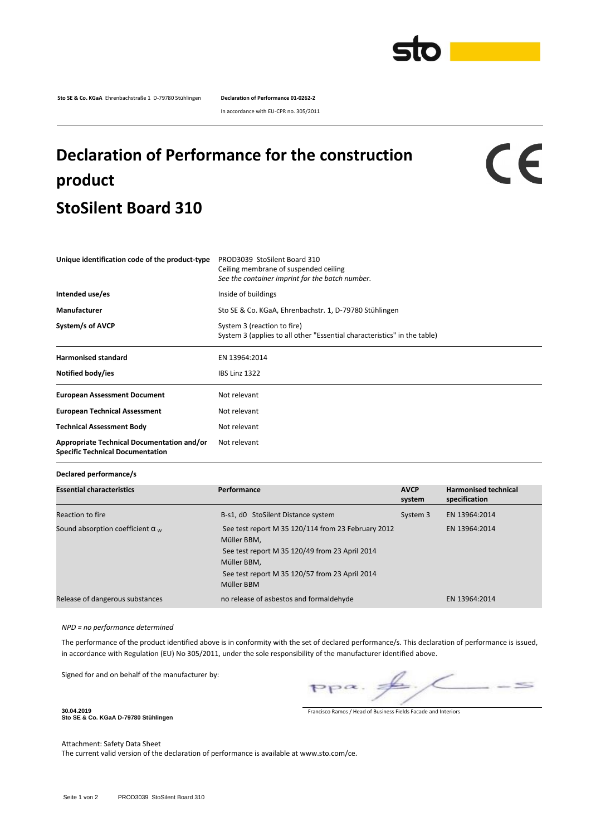

**Sto SE & Co. KGaA** Ehrenbachstraße 1 D-79780 Stühlingen **Declaration of Performance 01-0262-2**

In accordance with EU-CPR no. 305/2011

## **Declaration of Performance for the construction product StoSilent Board 310**

CE

| Unique identification code of the product-type                                        | PROD3039 StoSilent Board 310<br>Ceiling membrane of suspended ceiling<br>See the container imprint for the batch number. |  |  |  |
|---------------------------------------------------------------------------------------|--------------------------------------------------------------------------------------------------------------------------|--|--|--|
| Intended use/es                                                                       | Inside of buildings<br>Sto SE & Co. KGaA, Ehrenbachstr. 1, D-79780 Stühlingen                                            |  |  |  |
| Manufacturer                                                                          |                                                                                                                          |  |  |  |
| System/s of AVCP                                                                      | System 3 (reaction to fire)<br>System 3 (applies to all other "Essential characteristics" in the table)                  |  |  |  |
| <b>Harmonised standard</b>                                                            | EN 13964:2014                                                                                                            |  |  |  |
| Notified body/ies                                                                     | <b>IBS Linz 1322</b>                                                                                                     |  |  |  |
| <b>European Assessment Document</b>                                                   | Not relevant                                                                                                             |  |  |  |
| <b>European Technical Assessment</b>                                                  | Not relevant                                                                                                             |  |  |  |
| <b>Technical Assessment Body</b>                                                      | Not relevant                                                                                                             |  |  |  |
| Appropriate Technical Documentation and/or<br><b>Specific Technical Documentation</b> | Not relevant                                                                                                             |  |  |  |

**Declared performance/s**

| <b>Essential characteristics</b>        | Performance                                                                                                                                                                                        | <b>AVCP</b><br>system | <b>Harmonised technical</b><br>specification |
|-----------------------------------------|----------------------------------------------------------------------------------------------------------------------------------------------------------------------------------------------------|-----------------------|----------------------------------------------|
| Reaction to fire                        | B-s1, d0 StoSilent Distance system                                                                                                                                                                 | System 3              | EN 13964:2014                                |
| Sound absorption coefficient $\alpha_w$ | See test report M 35 120/114 from 23 February 2012<br>Müller BBM.<br>See test report M 35 120/49 from 23 April 2014<br>Müller BBM.<br>See test report M 35 120/57 from 23 April 2014<br>Müller BBM |                       | EN 13964:2014                                |
| Release of dangerous substances         | no release of asbestos and formaldehyde                                                                                                                                                            |                       | EN 13964:2014                                |

## *NPD = no performance determined*

The performance of the product identified above is in conformity with the set of declared performance/s. This declaration of performance is issued, in accordance with Regulation (EU) No 305/2011, under the sole responsibility of the manufacturer identified above.

Signed for and on behalf of the manufacturer by:

 $\leq$  $pp\alpha$ .

Francisco Ramos / Head of Business Fields Facade and Interiors

**Sto SE & Co. KGaA D-79780 Stühlingen**

**30.04.2019**

Attachment: Safety Data Sheet The current valid version of the declaration of performance is available at www.sto.com/ce.